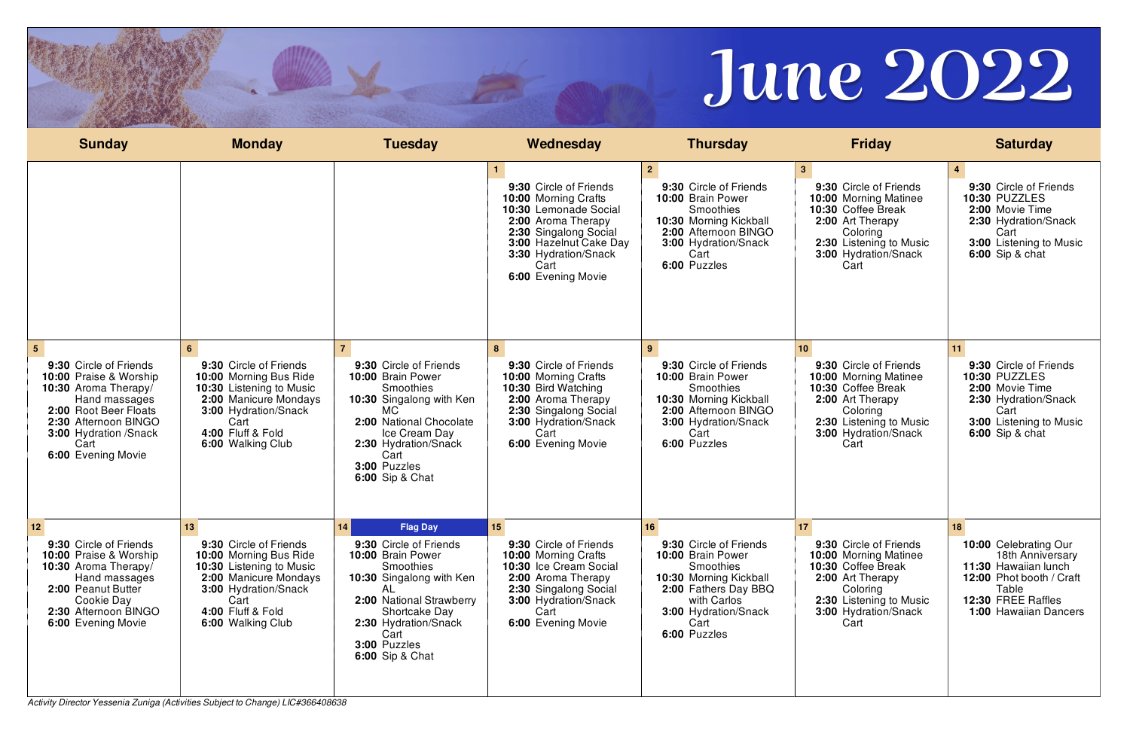*Activity Director Yessenia Zuniga (Activities Subject to Change) LIC#366408638*



| <b>Sunday</b>                                                                                                                                                                                                           | <b>Monday</b>                                                                                                                                                                                             | <b>Tuesday</b>                                                                                                                                                                                                                                           | Wednesday                                                                                                                                                                                              | <b>Thursday</b>                                                                                                                                                                              | <b>Friday</b>                                                                                                                                                                                     | <b>Saturday</b>                                                                                                                                              |
|-------------------------------------------------------------------------------------------------------------------------------------------------------------------------------------------------------------------------|-----------------------------------------------------------------------------------------------------------------------------------------------------------------------------------------------------------|----------------------------------------------------------------------------------------------------------------------------------------------------------------------------------------------------------------------------------------------------------|--------------------------------------------------------------------------------------------------------------------------------------------------------------------------------------------------------|----------------------------------------------------------------------------------------------------------------------------------------------------------------------------------------------|---------------------------------------------------------------------------------------------------------------------------------------------------------------------------------------------------|--------------------------------------------------------------------------------------------------------------------------------------------------------------|
|                                                                                                                                                                                                                         |                                                                                                                                                                                                           |                                                                                                                                                                                                                                                          | 9:30 Circle of Friends<br>10:00 Morning Crafts<br>10:30 Lemonade Social<br>2:00 Aroma Therapy<br>2:30 Singalong Social<br>3:00 Hazelnut Cake Day<br>3:30 Hydration/Snack<br>Cart<br>6:00 Evening Movie | $\mathbf{2}$<br>9:30 Circle of Friends<br>10:00 Brain Power<br><b>Smoothies</b><br>10:30 Morning Kickball<br>2:00 Afternoon BINGO<br>3:00 Hydration/Snack<br>Cart<br>6:00 Puzzles            | 3 <sup>1</sup><br>9:30 Circle of Friends<br><b>10:00 Morning Matinee</b><br>10:30 Coffee Break<br>2:00 Art Therapy<br>Coloring<br>2:30 Listening to Music<br>3:00 Hydration/Snack<br>Cart         | 9:30 Circle of Friends<br>10:30 PUZZLES<br>2:00 Movie Time<br>2:30 Hydration/Snack<br>Cart<br>3:00 Listening to Music<br><b>6:00</b> Sip & chat              |
| $5^{\circ}$<br>9:30 Circle of Friends<br>10:00 Praise & Worship<br>10:30 Aroma Therapy/<br>Hand massages<br>2:00 Root Beer Floats<br>2:30 Afternoon BINGO<br><b>3:00 Hydration /Snack</b><br>Cart<br>6:00 Evening Movie | 9:30 Circle of Friends<br>10:00 Morning Bus Ride<br>10:30 Listening to Music<br>2:00 Manicure Mondays<br>3:00 Hydration/Snack<br>Cart<br>4:00 Fluff & Fold<br>6:00 Walking Club                           | 9:30 Circle of Friends<br>10:00 Brain Power<br><b>Smoothies</b><br>10:30 Singalong with Ken<br>MC.<br>2:00 National Chocolate<br>Ice Cream Day<br>2:30 Hydration/Snack<br>Cart<br>3:00 Puzzles<br><b>6:00 Sip &amp; Chat</b>                             | 8<br>9:30 Circle of Friends<br>10:00 Morning Crafts<br>10:30 Bird Watching<br>2:00 Aroma Therapy<br>2:30 Singalong Social<br>3:00 Hydration/Snack<br>Cart<br>6:00 Evening Movie                        | 9:30 Circle of Friends<br>10:00 Brain Power<br>Smoothies<br>10:30 Morning Kickball<br>2:00 Afternoon BINGO<br>3:00 Hydration/Snack<br>Cart<br>6:00 Puzzles                                   | 10 <sup>1</sup><br>9:30 Circle of Friends<br><b>10:00 Morning Matinee</b><br>10:30 Coffee Break<br>2:00 Art Therapy<br>Coloring<br>2:30 Listening to Music<br><b>3:00 Hydration/Snack</b><br>Cart | 9:30 Circle of Friends<br>10:30 PUZZLES<br>2:00 Movie Time<br>2:30 Hydration/Snack<br>Cart<br>3:00 Listening to Music<br><b>6:00</b> Sip & chat              |
| $12$<br>9:30 Circle of Friends<br>10:00 Praise & Worship<br>10:30 Aroma Therapy/<br>Hand massages<br>2:00 Peanut Butter<br>Cookie Day<br>2:30 Afternoon BINGO<br>6:00 Evening Movie                                     | 13 <sup>°</sup><br>9:30 Circle of Friends<br>10:00 Morning Bus Ride<br>10:30 Listening to Music<br>2:00 Manicure Mondays<br><b>3:00 Hydration/Snack</b><br>Cart<br>4:00 Fluff & Fold<br>6:00 Walking Club | 14  <br><b>Flag Day</b><br>9:30 Circle of Friends<br>10:00 Brain Power<br><b>Smoothies</b><br>10:30 Singalong with Ken<br>AL.<br>2:00 National Strawberry<br>Shortcake Day<br>2:30 Hydration/Snack<br>Cart<br>3:00 Puzzles<br><b>6:00 Sip &amp; Chat</b> | 15<br>9:30 Circle of Friends<br><b>10:00 Morning Crafts</b><br>10:30 Ice Cream Social<br>2:00 Aroma Therapy<br>2:30 Singalong Social<br><b>3:00 Hydration/Snack</b><br>Cart<br>6:00 Evening Movie      | 16 <sup>°</sup><br>9:30 Circle of Friends<br>10:00 Brain Power<br>Smoothies<br>10:30 Morning Kickball<br>2:00 Fathers Day BBQ<br>with Carlos<br>3:00 Hydration/Snack<br>Cart<br>6:00 Puzzles | 17<br>9:30 Circle of Friends<br><b>10:00 Morning Matinee</b><br>10:30 Coffee Break<br>2:00 Art Therapy<br>Coloring<br>2:30 Listening to Music<br><b>3:00 Hydration/Snack</b><br>Cart              | 10:00 Celebrating Our<br>18th Anniversary<br>11:30 Hawaiian lunch<br>12:00 Phot booth / Craft<br>Table<br>12:30 FREE Raffles<br><b>1:00 Hawaiian Dancers</b> |